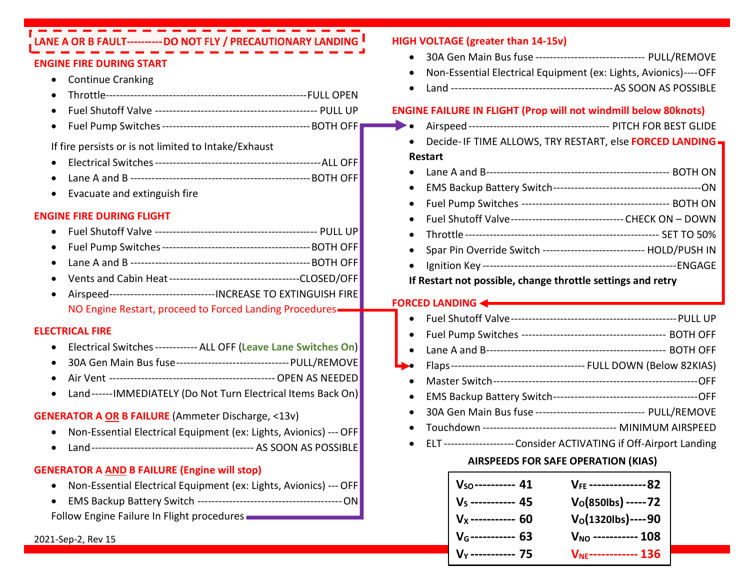| LANE A OR B FAULT---------- DO NOT FLY / PRECAUTIONARY LANDING                     | <b>HIGH VOLTAGE (greater than 14-15v)</b>                                           |
|------------------------------------------------------------------------------------|-------------------------------------------------------------------------------------|
| <b>ENGINE FIRE DURING START</b>                                                    | 30A Gen Main Bus fuse ------------------------------    PULL/REMOVE<br>$\bullet$    |
| <b>Continue Cranking</b><br>$\bullet$                                              | Non-Essential Electrical Equipment (ex: Lights, Avionics)---- OFF                   |
|                                                                                    |                                                                                     |
|                                                                                    | <b>ENGINE FAILURE IN FLIGHT (Prop will not windmill below 80knots)</b>              |
| $\bullet$                                                                          |                                                                                     |
|                                                                                    | Decide- IF TIME ALLOWS, TRY RESTART, else FORCED LANDING                            |
| If fire persists or is not limited to Intake/Exhaust                               | Restart                                                                             |
|                                                                                    |                                                                                     |
|                                                                                    |                                                                                     |
| Evacuate and extinguish fire                                                       | $\bullet$                                                                           |
| <b>ENGINE FIRE DURING FLIGHT</b>                                                   | Fuel Shutoff Valve-------------------------------- CHECK ON - DOWN                  |
| $\bullet$                                                                          |                                                                                     |
| $\bullet$                                                                          | Spar Pin Override Switch ----------------------------- HOLD/PUSH IN                 |
|                                                                                    |                                                                                     |
|                                                                                    | If Restart not possible, change throttle settings and retry                         |
| Airspeed--------------------------------- INCREASE TO EXTINGUISH FIRE<br>$\bullet$ |                                                                                     |
| NO Engine Restart, proceed to Forced Landing Procedures-                           | <b>FORCED LANDING &lt;&gt;&gt;&gt;</b>                                              |
| <b>ELECTRICAL FIRE</b>                                                             | $\bullet$                                                                           |
| Electrical Switches ------------ ALL OFF (Leave Lane Switches On)<br>$\bullet$     |                                                                                     |
| 30A Gen Main Bus fuse--------------------------------    PULL/REMOVE<br>$\bullet$  |                                                                                     |
|                                                                                    |                                                                                     |
| Land------IMMEDIATELY (Do Not Turn Electrical Items Back On)<br>$\bullet$          |                                                                                     |
|                                                                                    | $\bullet$<br>30A Gen Main Bus fuse ------------------------------    PULL/REMOVE    |
| <b>GENERATOR A OR B FAILURE</b> (Ammeter Discharge, <13v)                          |                                                                                     |
| Non-Essential Electrical Equipment (ex: Lights, Avionics) --- OFF                  | ELT--------------------Consider ACTIVATING if Off-Airport Landing                   |
| $\bullet$                                                                          |                                                                                     |
| <b>GENERATOR A AND B FAILURE (Engine will stop)</b>                                | <b>AIRSPEEDS FOR SAFE OPERATION (KIAS)</b>                                          |
| Non-Essential Electrical Equipment (ex: Lights, Avionics) --- OFF<br>C             | VFF ---------------82                                                               |
| $\bullet$                                                                          | $V_{SO}$ ---------- 41<br>$V_{S}$ ---------- 45<br>$V_0$ (850lbs) ----- 72          |
| Follow Engine Failure In Flight procedures                                         | $V_0$ (1320lbs)----90                                                               |
| 2021-Sep-2, Rev 15                                                                 | $V_{X}$ ----------- 60<br>V <sub>G</sub> ----------- 63<br>$V_{NO}$ ----------- 108 |
|                                                                                    | $V_{\text{NE}}$ ------------ 136<br>$V_y$ ----------- 75                            |
|                                                                                    |                                                                                     |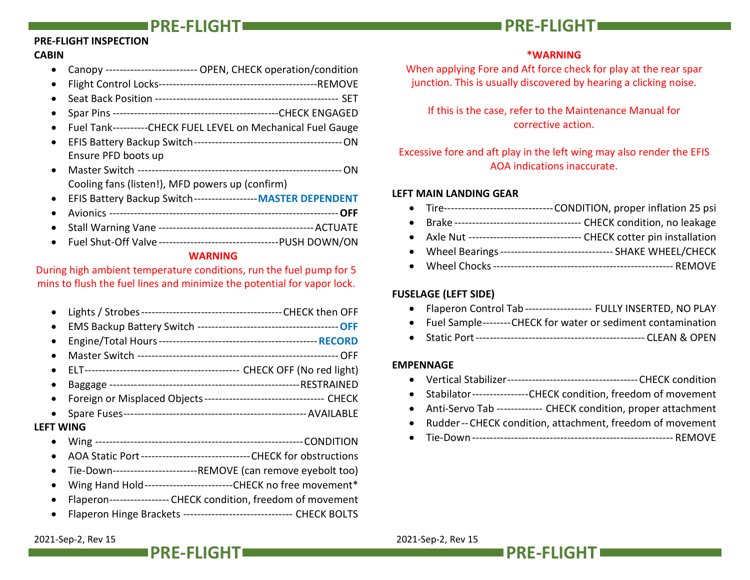#### PRE-FLIGHT INSPECTION

### CABIN

- Canopy -------------------------- OPEN, CHECK operation/condition
- Flight Control Locks ---------------------------------------------REMOVE
- Seat Back Position ---------------------------------------------------- SET
- Spar Pins ----------------------------------------------- CHECK ENGAGED
- Fuel Tank ----------CHECK FUEL LEVEL on Mechanical Fuel Gauge
- EFIS Battery Backup Switch ------------------------------------------ ON Ensure PFD boots up
- Master Switch ---------------------------------------------------------- ON Cooling fans (listen!), MFD powers up (confirm)
- EFIS Battery Backup Switch ------------------ MASTER DEPENDENT
- Avionics ----------------------------------------------------------------- OFF
- Stall Warning Vane -------------------------------------------- ACTUATE
- Fuel Shut-Off Valve ---------------------------------- PUSH DOWN/ON

#### WARNING

During high ambient temperature conditions, run the fuel pump for 5 mins to flush the fuel lines and minimize the potential for vapor lock.

- Lights / Strobes ---------------------------------------- CHECK then OFF
- EMS Backup Battery Switch ---------------------------------------- OFF
- Engine/Total Hours --------------------------------------------- RECORD
- Master Switch --------------------------------------------------------- OFF
- ELT -------------------------------------------- CHECK OFF (No red light)
- Baggage ------------------------------------------------------ RESTRAINED
- Foreign or Misplaced Objects ---------------------------------- CHECK
- Spare Fuses ---------------------------------------------------- AVAILABLE

#### LEFT WING

- Wing ----------------------------------------------------------- CONDITION
- AOA Static Port ------------------------------- CHECK for obstructions
- Tie-Down ------------------------ REMOVE (can remove eyebolt too)
- Wing Hand Hold ---------------------------CHECK no free movement\*
- Flaperon ----------------- CHECK condition, freedom of movement
- Flaperon Hinge Brackets ------------------------------- CHECK BOLTS

# PRE-FLIGHT PRE-FLIGHT

# \*WARNING

When applying Fore and Aft force check for play at the rear spar junction. This is usually discovered by hearing a clicking noise.

If this is the case, refer to the Maintenance Manual for corrective action.

# Excessive fore and aft play in the left wing may also render the EFIS AOA indications inaccurate.

#### LEFT MAIN LANDING GEAR

- Tire------------------------------- CONDITION, proper inflation 25 psi
- Brake ------------------------------------ CHECK condition, no leakage
- Axle Nut -------------------------------- CHECK cotter pin installation
- Wheel Bearings -------------------------------- SHAKE WHEEL/CHECK
- Wheel Chocks --------------------------------------------------- REMOVE

# FUSELAGE (LEFT SIDE)

- Flaperon Control Tab ------------------- FULLY INSERTED, NO PLAY
- Fuel Sample-------- CHECK for water or sediment contamination
- Static Port ------------------------------------------------ CLEAN & OPEN

### EMPENNAGE

- Vertical Stabilizer ------------------------------------- CHECK condition
- Stabilator -----------------CHECK condition, freedom of movement
- Anti-Servo Tab ------------- CHECK condition, proper attachment
- Rudder -- CHECK condition, attachment, freedom of movement
- Tie-Down --------------------------------------------------------- REMOVE

2021-Sep-2, Rev 15 2021-Sep-2, Rev 15



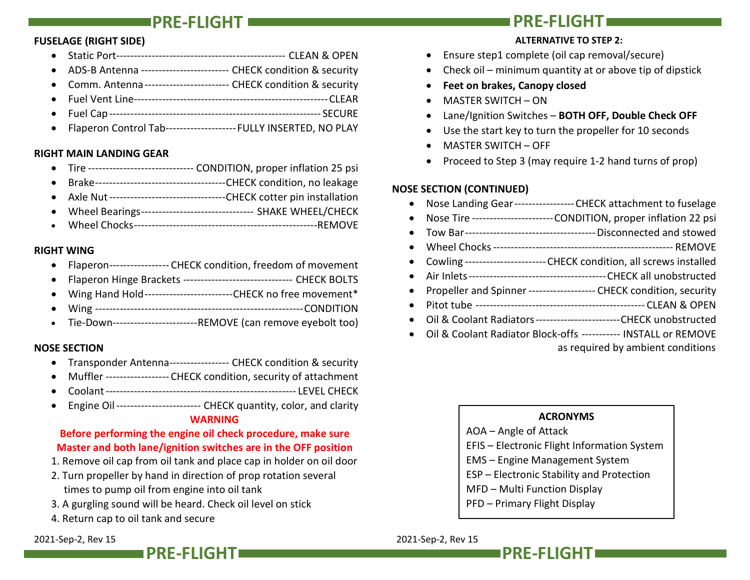#### FUSELAGE (RIGHT SIDE)

- Static Port ------------------------------------------------ CLEAN & OPEN
- ADS-B Antenna ------------------------- CHECK condition & security
- Comm. Antenna ------------------------ CHECK condition & security
- Fuel Vent Line ------------------------------------------------------- CLEAR
- Fuel Cap ------------------------------------------------------------ SECURE
- Flaperon Control Tab--------------------FULLY INSERTED, NO PLAY

#### RIGHT MAIN LANDING GEAR

- Tire ------------------------------ CONDITION, proper inflation 25 psi
- Brake ------------------------------------- CHECK condition, no leakage
- Axle Nut --------------------------------- CHECK cotter pin installation
- Wheel Bearings -------------------------------- SHAKE WHEEL/CHECK
- Wheel Chocks ----------------------------------------------------REMOVE

#### RIGHT WING

- Flaperon----------------- CHECK condition, freedom of movement
- Flaperon Hinge Brackets ------------------------------- CHECK BOLTS
- Wing Hand Hold ------------------------- CHECK no free movement\*
- Wing ----------------------------------------------------------- CONDITION
- Tie-Down--------------------------REMOVE (can remove eyebolt too)

#### NOSE SECTION

- Transponder Antenna------------------ CHECK condition & security
- Muffler ------------------ CHECK condition, security of attachment
- Coolant ------------------------------------------------------ LEVEL CHECK
- Engine Oil ------------------------ CHECK quantity, color, and clarity WARNING

### Before performing the engine oil check procedure, make sure Master and both lane/ignition switches are in the OFF position

- 1. Remove oil cap from oil tank and place cap in holder on oil door
- 2. Turn propeller by hand in direction of prop rotation several times to pump oil from engine into oil tank
- 3. A gurgling sound will be heard. Check oil level on stick
- 4. Return cap to oil tank and secure

#### 2021-Sep-2, Rev 15 2021-Sep-2, Rev 15

# PRE-FLIGHT PRE-FLIGHT

# ALTERNATIVE TO STEP 2:

- Ensure step1 complete (oil cap removal/secure)
- Check oil minimum quantity at or above tip of dipstick
- Feet on brakes, Canopy closed
- MASTER SWITCH ON
- Lane/Ignition Switches BOTH OFF, Double Check OFF
- Use the start key to turn the propeller for 10 seconds
- MASTER SWITCH OFF
- Proceed to Step 3 (may require 1-2 hand turns of prop)

### NOSE SECTION (CONTINUED)

- Nose Landing Gear ----------------- CHECK attachment to fuselage
- Nose Tire ----------------------- CONDITION, proper inflation 22 psi
- Tow Bar ------------------------------------- Disconnected and stowed
- Wheel Chocks --------------------------------------------------- REMOVE
- Cowling ----------------------- CHECK condition, all screws installed
- Air Inlets --------------------------------------- CHECK all unobstructed
- Propeller and Spinner -------------------- CHECK condition, security
- Pitot tube ------------------------------------------------ CLEAN & OPEN
- Oil & Coolant Radiators ------------------------ CHECK unobstructed
- Oil & Coolant Radiator Block-offs ----------- INSTALL or REMOVE

as required by ambient conditions

### ACRONYMS

- AOA Angle of Attack
- EFIS Electronic Flight Information System
- EMS Engine Management System
- ESP Electronic Stability and Protection
- MFD Multi Function Display
- PFD Primary Flight Display



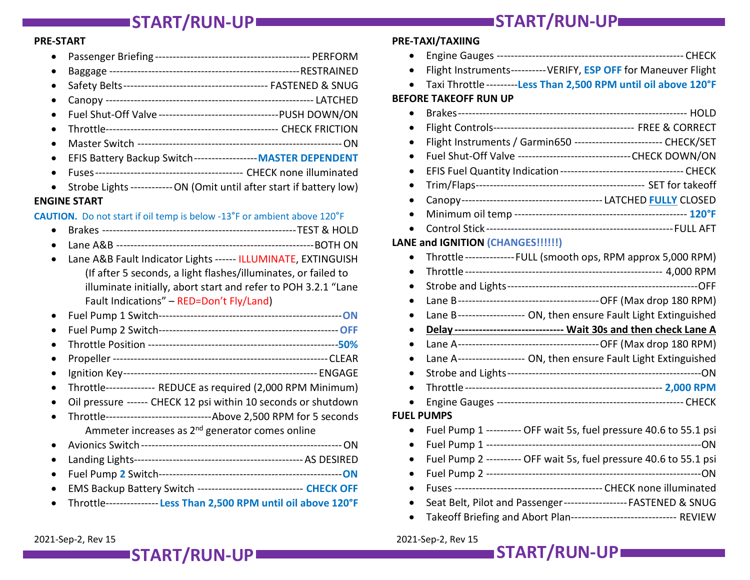#### PRE-START

- Passenger Briefing -------------------------------------------- PERFORM
- Baggage ------------------------------------------------------ RESTRAINED
- Safety Belts ----------------------------------------- FASTENED & SNUG
- Canopy ----------------------------------------------------------- LATCHED
- Fuel Shut-Off Valve ---------------------------------- PUSH DOWN/ON
- Throttle ------------------------------------------------- CHECK FRICTION
- Master Switch ---------------------------------------------------------- ON
- EFIS Battery Backup Switch ------------------ MASTER DEPENDENT
- Fuses ------------------------------------------ CHECK none illuminated
- Strobe Lights ------------- ON (Omit until after start if battery low)

#### ENGINE START

#### CAUTION. Do not start if oil temp is below -13°F or ambient above 120°F

- Brakes ------------------------------------------------------- TEST & HOLD
- Lane A&B -------------------------------------------------------- BOTH ON
- Lane A&B Fault Indicator Lights ------ ILLUMINATE, EXTINGUISH (If after 5 seconds, a light flashes/illuminates, or failed to illuminate initially, abort start and refer to POH 3.2.1 "Lane Fault Indications" – RED=Don't Fly/Land)
- Fuel Pump 1 Switch---------------------------------------------------- ON
- Fuel Pump 2 Switch--------------------------------------------------- OFF
- Throttle Position ------------------------------------------------------50%
- Propeller ------------------------------------------------------------- CLEAR
- Ignition Key ------------------------------------------------------- ENGAGE
- Throttle -------------- REDUCE as required (2,000 RPM Minimum)
- Oil pressure ------ CHECK 12 psi within 10 seconds or shutdown
- Throttle ------------------------------ Above 2,500 RPM for 5 seconds Ammeter increases as 2<sup>nd</sup> generator comes online
- Avionics Switch --------------------------------------------------------- ON
- Landing Lights ------------------------------------------------ AS DESIRED
- Fuel Pump 2 Switch---------------------------------------------------- ON
- EMS Backup Battery Switch ------------------------------ CHECK OFF
- Throttle --------------- Less Than 2,500 RPM until oil above 120°F

### PRE-TAXI/TAXIING

- Engine Gauges ----------------------------------------------------- CHECK
- Flight Instruments---------- VERIFY, ESP OFF for Maneuver Flight
- Taxi Throttle ---------Less Than 2,500 RPM until oil above 120°F

#### BEFORE TAKEOFF RUN UP

- Brakes ----------------------------------------------------------------- HOLD
- Flight Controls ---------------------------------------- FREE & CORRECT
- Flight Instruments / Garmin650 ------------------------- CHECK/SET
- Fuel Shut-Off Valve -------------------------------- CHECK DOWN/ON
- EFIS Fuel Quantity Indication ----------------------------------- CHECK
- Trim/Flaps ------------------------------------------------ SET for takeoff
- Canopy ---------------------------------------- LATCHED FULLY CLOSED
- Minimum oil temp ------------------------------------------------- 120°F
- Control Stick ----------------------------------------------------- FULL AFT

#### LANE and IGNITION (CHANGES!!!!!!)

|                   | Throttle -------------- FULL (smooth ops, RPM approx 5,000 RPM)      |  |
|-------------------|----------------------------------------------------------------------|--|
|                   |                                                                      |  |
| $\bullet$         |                                                                      |  |
| $\bullet$         |                                                                      |  |
| $\bullet$         | Lane B------------------- ON, then ensure Fault Light Extinguished   |  |
|                   | Delay ------------------------------- Wait 30s and then check Lane A |  |
| $\bullet$         |                                                                      |  |
|                   | Lane A------------------ ON, then ensure Fault Light Extinguished    |  |
|                   |                                                                      |  |
|                   |                                                                      |  |
|                   |                                                                      |  |
| <b>FUEL PUMPS</b> |                                                                      |  |
|                   | Fuel Pump 1 ---------- OFF wait 5s, fuel pressure 40.6 to 55.1 psi   |  |
|                   |                                                                      |  |
|                   | Fuel Pump 2 ---------- OFF wait 5s, fuel pressure 40.6 to 55.1 psi   |  |
| $\bullet$         |                                                                      |  |
|                   |                                                                      |  |
|                   | Seat Belt, Pilot and Passenger------------------FASTENED & SNUG      |  |

• Takeoff Briefing and Abort Plan------------------------------- REVIEW

2021-Sep-2, Rev 15 2021-Sep-2, Rev 15

ISTART/RUN-UP START/RUN-UP START/RUN-UP START/RUN-UP

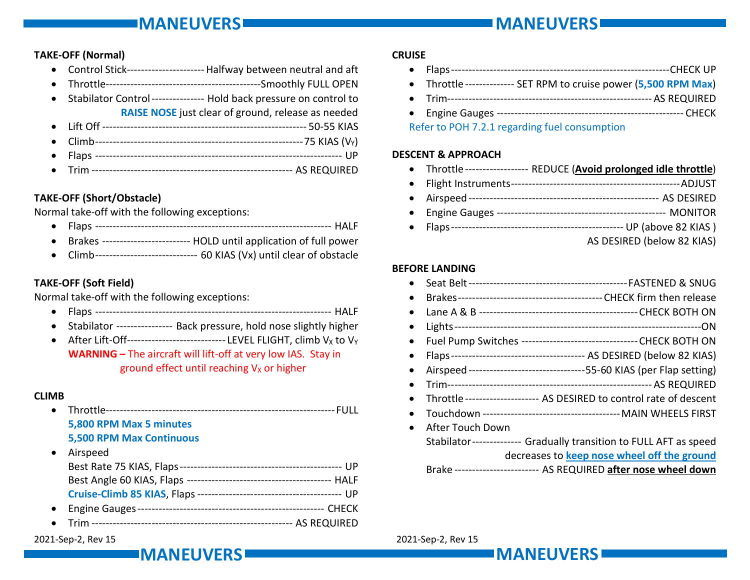# IMANEUVERS MANUSCHE EIN DER EINER EIN DER EIN DER EIN DER EIN DER EIN DER EIN DER EIN DER EIN DER EIN DER EIN

#### TAKE-OFF (Normal)

- Control Stick ---------------------- Halfway between neutral and aft
- Throttle --------------------------------------------Smoothly FULL OPEN
- Stabilator Control --------------- Hold back pressure on control to RAISE NOSE just clear of ground, release as needed
- Lift Off ---------------------------------------------------------- 50-55 KIAS
- Climb ----------------------------------------------------------- 75 KIAS (VY)
- Flaps ---------------------------------------------------------------------- UP
- Trim --------------------------------------------------------- AS REQUIRED

# TAKE-OFF (Short/Obstacle)

Normal take-off with the following exceptions:

- Flaps ------------------------------------------------------------------- HALF
- Brakes ------------------------- HOLD until application of full power
- Climb ----------------------------- 60 KIAS (Vx) until clear of obstacle

# TAKE-OFF (Soft Field)

Normal take-off with the following exceptions:

- Flaps ------------------------------------------------------------------- HALF
- Stabilator ---------------- Back pressure, hold nose slightly higher
- After Lift-Off------------------------------LEVEL FLIGHT, climb  $V_x$  to  $V_y$ WARNING – The aircraft will lift-off at very low IAS. Stay in ground effect until reaching  $V_X$  or higher

### CLIMB

 Throttle ----------------------------------------------------------------- FULL 5,800 RPM Max 5 minutes 5,500 RPM Max Continuous **Airspeed** 

| $\blacksquare$ | <b>AII SUCCU</b>                |  |
|----------------|---------------------------------|--|
|                |                                 |  |
|                |                                 |  |
|                | Cruise-Climb 85 KIAS, Flaps --- |  |
|                |                                 |  |
|                |                                 |  |

Trim --------------------------------------------------------- AS REQUIRED

#### 2021-Sep-2, Rev 15 2021-Sep-2, Rev 15

# **CRUISE**

- Flaps -------------------------------------------------------------- CHECK UP
	- Throttle -------------- SET RPM to cruise power (5,500 RPM Max)
	- Trim ---------------------------------------------------------- AS REQUIRED
	- Engine Gauges ----------------------------------------------------- CHECK

Refer to POH 7.2.1 regarding fuel consumption

#### DESCENT & APPROACH

- Throttle ------------------ REDUCE (Avoid prolonged idle throttle)
- Flight Instruments ------------------------------------------------ ADJUST Airspeed ------------------------------------------------------ AS DESIRED Engine Gauges ------------------------------------------------ MONITOR
- Flaps ------------------------------------------------- UP (above 82 KIAS ) AS DESIRED (below 82 KIAS)

# BEFORE LANDING

|  | - Seat Belt |  |
|--|-------------|--|
|--|-------------|--|

- Brakes ----------------------------------------- CHECK firm then release Lane A & B --------------------------------------------- CHECK BOTH ON
- Lights ----------------------------------------------------------------------ON
- Fuel Pump Switches --------------------------------- CHECK BOTH ON
- Flaps -------------------------------------- AS DESIRED (below 82 KIAS)
- Airspeed --------------------------------- 55-60 KIAS (per Flap setting)
- Trim ---------------------------------------------------------- AS REQUIRED
- Throttle --------------------- AS DESIRED to control rate of descent
- Touchdown --------------------------------------- MAIN WHEELS FIRST
- After Touch Down

Stabilator -------------- Gradually transition to FULL AFT as speed decreases to keep nose wheel off the ground

Brake ----------------------- AS REQUIRED after nose wheel down

IMANEUVERS MANUSCHE EIN DER STELLEN EIN DER STELLEN EIN DER STELLEN EIN DER STELLEN EIN DER STELLEN EIN DER ST